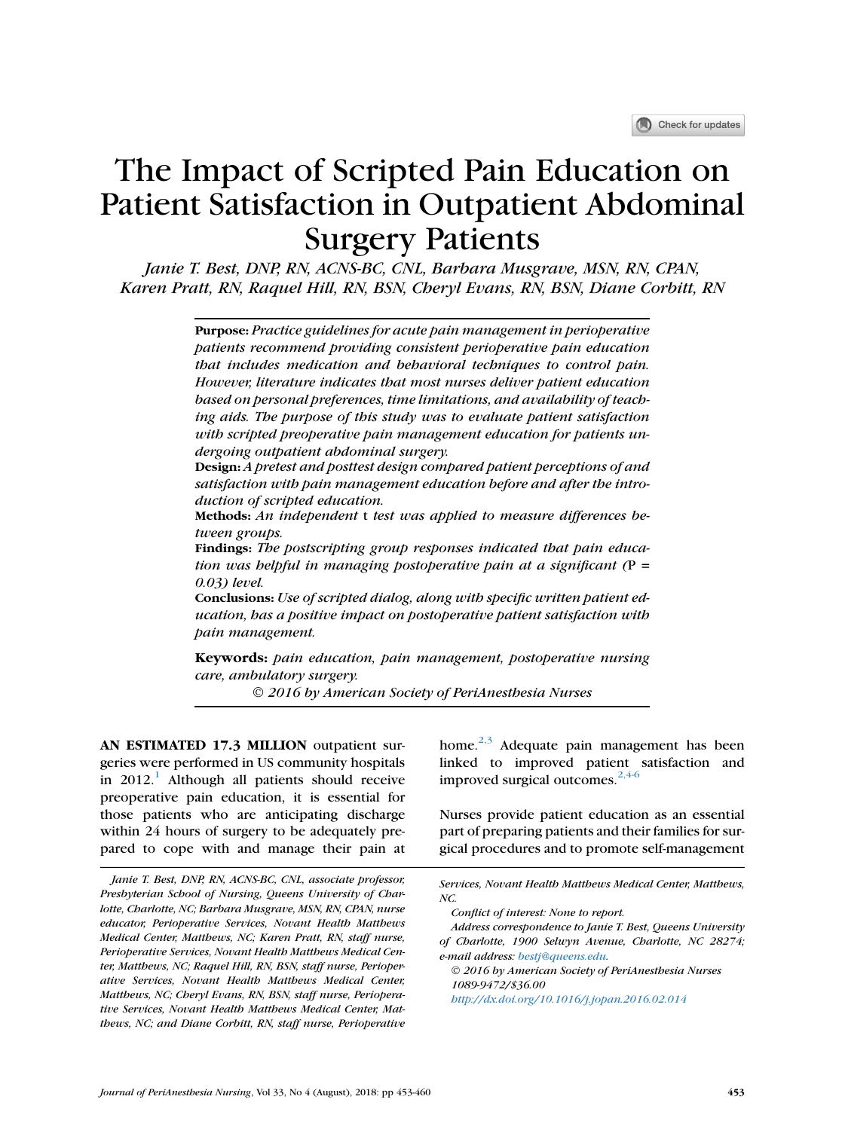# The Impact of Scripted Pain Education on Patient Satisfaction in Outpatient Abdominal Surgery Patients

Janie T. Best, DNP, RN, ACNS-BC, CNL, Barbara Musgrave, MSN, RN, CPAN, Karen Pratt, RN, Raquel Hill, RN, BSN, Cheryl Evans, RN, BSN, Diane Corbitt, RN

> Purpose: Practice guidelines for acute pain management in perioperative patients recommend providing consistent perioperative pain education that includes medication and behavioral techniques to control pain. However, literature indicates that most nurses deliver patient education based on personal preferences, time limitations, and availability of teaching aids. The purpose of this study was to evaluate patient satisfaction with scripted preoperative pain management education for patients undergoing outpatient abdominal surgery.

> Design: A pretest and posttest design compared patient perceptions of and satisfaction with pain management education before and after the introduction of scripted education.

> Methods: An independent t test was applied to measure differences between groups.

> Findings: The postscripting group responses indicated that pain education was helpful in managing postoperative pain at a significant  $(P =$ 0.03) level.

> Conclusions: Use of scripted dialog, along with specific written patient education, has a positive impact on postoperative patient satisfaction with pain management.

> Keywords: pain education, pain management, postoperative nursing care, ambulatory surgery.

> > 2016 by American Society of PeriAnesthesia Nurses

AN ESTIMATED 17.3 MILLION outpatient surgeries were performed in US community hospitals in  $2012$  $2012$  $2012$ .<sup>1</sup> Although all patients should receive preoperative pain education, it is essential for those patients who are anticipating discharge within 24 hours of surgery to be adequately prepared to cope with and manage their pain at

home. $2,3$  Adequate pain management has been linked to improved patient satisfaction and improved surgical outcomes. $2,4-6$ 

Nurses provide patient education as an essential part of preparing patients and their families for surgical procedures and to promote self-management

 2016 by American Society of PeriAnesthesia Nurses 1089-9472/\$36.00

<http://dx.doi.org/10.1016/j.jopan.2016.02.014>

Janie T. Best, DNP, RN, ACNS-BC, CNL, associate professor, Presbyterian School of Nursing, Queens University of Charlotte, Charlotte, NC; Barbara Musgrave, MSN, RN, CPAN, nurse educator, Perioperative Services, Novant Health Matthews Medical Center, Matthews, NC; Karen Pratt, RN, staff nurse, Perioperative Services, Novant Health Matthews Medical Center, Matthews, NC; Raquel Hill, RN, BSN, staff nurse, Perioperative Services, Novant Health Matthews Medical Center, Matthews, NC; Cheryl Evans, RN, BSN, staff nurse, Perioperative Services, Novant Health Matthews Medical Center, Matthews, NC; and Diane Corbitt, RN, staff nurse, Perioperative

Services, Novant Health Matthews Medical Center, Matthews, NC.

Conflict of interest: None to report.

Address correspondence to Janie T. Best, Queens University of Charlotte, 1900 Selwyn Avenue, Charlotte, NC 28274; e-mail address: [bestj@queens.edu.](mailto:bestj@queens.edu)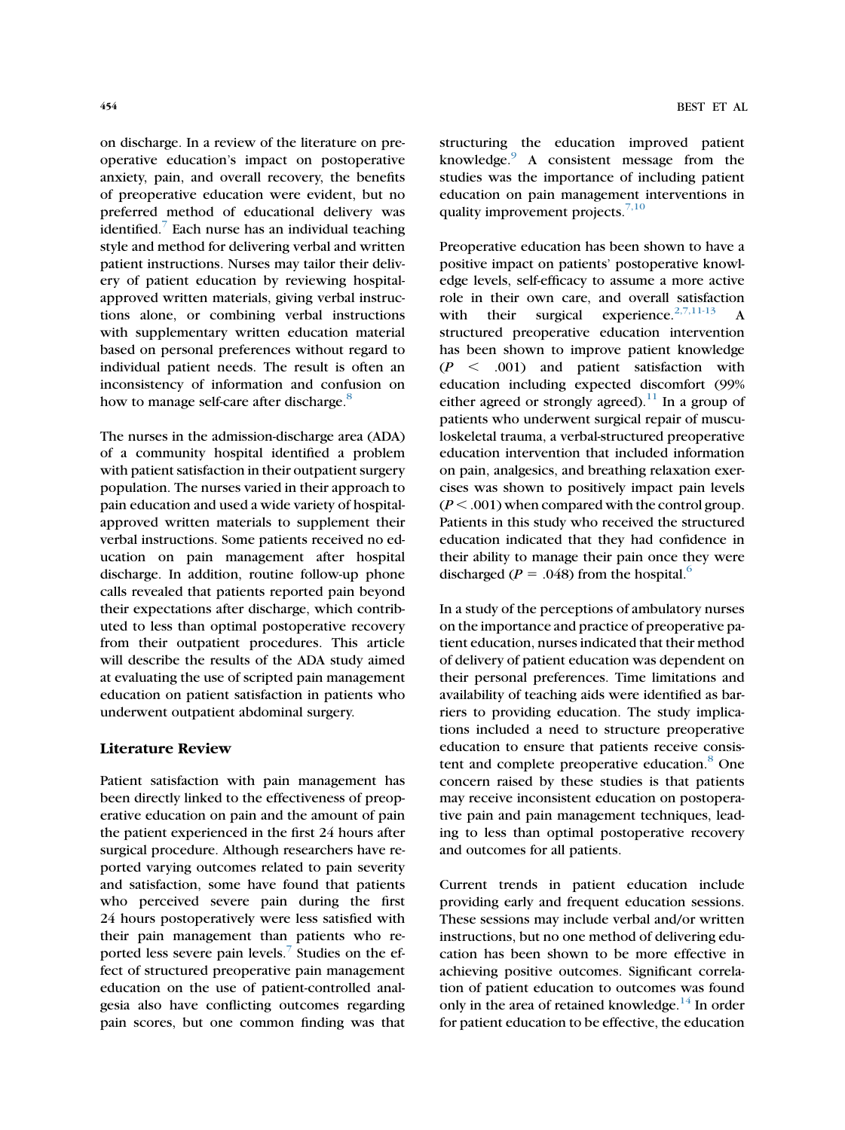on discharge. In a review of the literature on preoperative education's impact on postoperative anxiety, pain, and overall recovery, the benefits of preoperative education were evident, but no preferred method of educational delivery was identified. $\overline{1}$  Each nurse has an individual teaching style and method for delivering verbal and written patient instructions. Nurses may tailor their delivery of patient education by reviewing hospitalapproved written materials, giving verbal instructions alone, or combining verbal instructions with supplementary written education material based on personal preferences without regard to individual patient needs. The result is often an inconsistency of information and confusion on how to manage self-care after discharge.<sup>[8](#page-6-0)</sup>

The nurses in the admission-discharge area (ADA) of a community hospital identified a problem with patient satisfaction in their outpatient surgery population. The nurses varied in their approach to pain education and used a wide variety of hospitalapproved written materials to supplement their verbal instructions. Some patients received no education on pain management after hospital discharge. In addition, routine follow-up phone calls revealed that patients reported pain beyond their expectations after discharge, which contributed to less than optimal postoperative recovery from their outpatient procedures. This article will describe the results of the ADA study aimed at evaluating the use of scripted pain management education on patient satisfaction in patients who underwent outpatient abdominal surgery.

# Literature Review

Patient satisfaction with pain management has been directly linked to the effectiveness of preoperative education on pain and the amount of pain the patient experienced in the first 24 hours after surgical procedure. Although researchers have reported varying outcomes related to pain severity and satisfaction, some have found that patients who perceived severe pain during the first 24 hours postoperatively were less satisfied with their pain management than patients who reported less severe pain levels.<sup>7</sup> Studies on the effect of structured preoperative pain management education on the use of patient-controlled analgesia also have conflicting outcomes regarding pain scores, but one common finding was that structuring the education improved patient knowledge.[9](#page-6-0) A consistent message from the studies was the importance of including patient education on pain management interventions in quality improvement projects. $7,10$ 

Preoperative education has been shown to have a positive impact on patients' postoperative knowledge levels, self-efficacy to assume a more active role in their own care, and overall satisfaction with their surgical experience.<sup>[2,7,11-13](#page-6-0)</sup> A structured preoperative education intervention has been shown to improve patient knowledge  $(P < .001)$  and patient satisfaction with education including expected discomfort (99% either agreed or strongly agreed).<sup>[11](#page-7-0)</sup> In a group of patients who underwent surgical repair of musculoskeletal trauma, a verbal-structured preoperative education intervention that included information on pain, analgesics, and breathing relaxation exercises was shown to positively impact pain levels  $(P < .001)$  when compared with the control group. Patients in this study who received the structured education indicated that they had confidence in their ability to manage their pain once they were discharged ( $P = .048$ ) from the hospital.<sup>6</sup>

In a study of the perceptions of ambulatory nurses on the importance and practice of preoperative patient education, nurses indicated that their method of delivery of patient education was dependent on their personal preferences. Time limitations and availability of teaching aids were identified as barriers to providing education. The study implications included a need to structure preoperative education to ensure that patients receive consis-tent and complete preoperative education.<sup>[8](#page-6-0)</sup> One concern raised by these studies is that patients may receive inconsistent education on postoperative pain and pain management techniques, leading to less than optimal postoperative recovery and outcomes for all patients.

Current trends in patient education include providing early and frequent education sessions. These sessions may include verbal and/or written instructions, but no one method of delivering education has been shown to be more effective in achieving positive outcomes. Significant correlation of patient education to outcomes was found only in the area of retained knowledge.<sup>[14](#page-7-0)</sup> In order for patient education to be effective, the education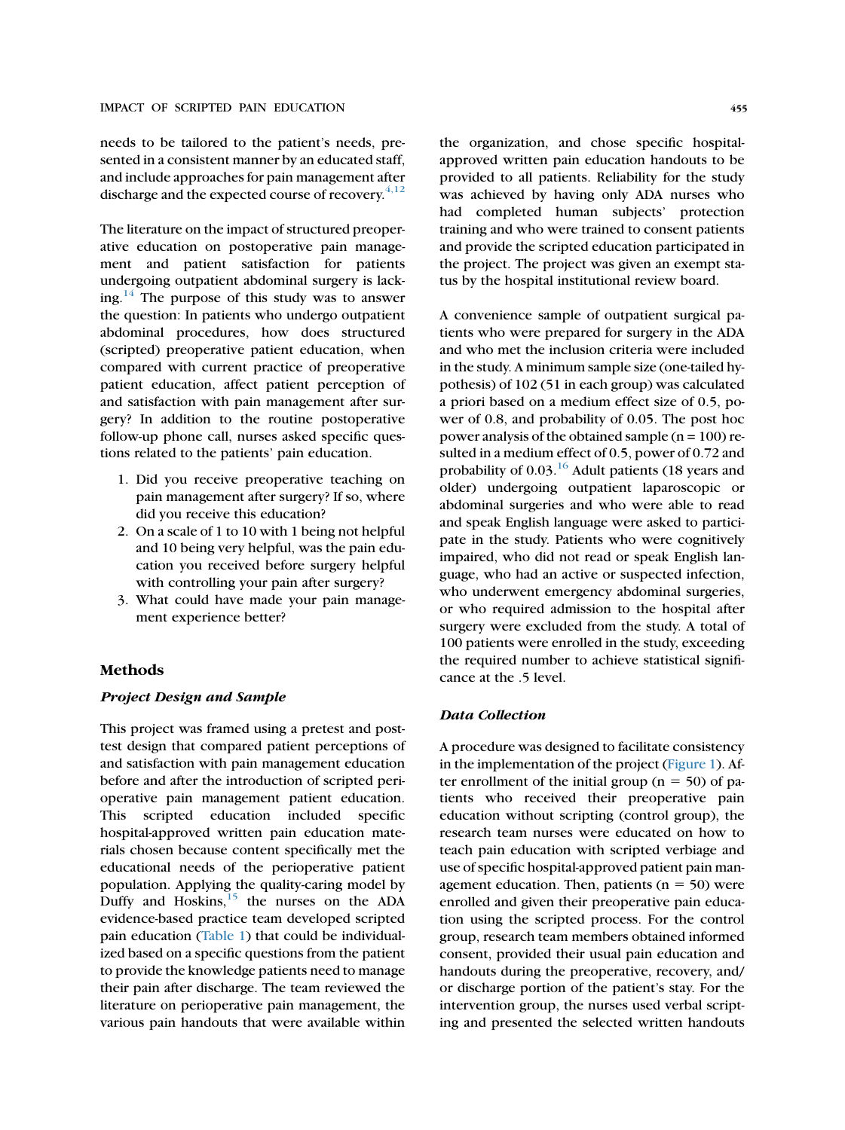needs to be tailored to the patient's needs, presented in a consistent manner by an educated staff, and include approaches for pain management after discharge and the expected course of recovery. $4,12$ 

The literature on the impact of structured preoperative education on postoperative pain management and patient satisfaction for patients undergoing outpatient abdominal surgery is lack-ing.<sup>[14](#page-7-0)</sup> The purpose of this study was to answer the question: In patients who undergo outpatient abdominal procedures, how does structured (scripted) preoperative patient education, when compared with current practice of preoperative patient education, affect patient perception of and satisfaction with pain management after surgery? In addition to the routine postoperative follow-up phone call, nurses asked specific questions related to the patients' pain education.

- 1. Did you receive preoperative teaching on pain management after surgery? If so, where did you receive this education?
- 2. On a scale of 1 to 10 with 1 being not helpful and 10 being very helpful, was the pain education you received before surgery helpful with controlling your pain after surgery?
- 3. What could have made your pain management experience better?

# Methods

# Project Design and Sample

This project was framed using a pretest and posttest design that compared patient perceptions of and satisfaction with pain management education before and after the introduction of scripted perioperative pain management patient education. This scripted education included specific hospital-approved written pain education materials chosen because content specifically met the educational needs of the perioperative patient population. Applying the quality-caring model by Duffy and Hoskins, $15$  the nurses on the ADA evidence-based practice team developed scripted pain education [\(Table 1](#page-3-0)) that could be individualized based on a specific questions from the patient to provide the knowledge patients need to manage their pain after discharge. The team reviewed the literature on perioperative pain management, the various pain handouts that were available within

the organization, and chose specific hospitalapproved written pain education handouts to be provided to all patients. Reliability for the study was achieved by having only ADA nurses who had completed human subjects' protection training and who were trained to consent patients and provide the scripted education participated in the project. The project was given an exempt status by the hospital institutional review board.

A convenience sample of outpatient surgical patients who were prepared for surgery in the ADA and who met the inclusion criteria were included in the study. A minimum sample size (one-tailed hypothesis) of 102 (51 in each group) was calculated a priori based on a medium effect size of 0.5, power of 0.8, and probability of 0.05. The post hoc power analysis of the obtained sample  $(n = 100)$  resulted in a medium effect of 0.5, power of 0.72 and probability of  $0.03$ .<sup>[16](#page-7-0)</sup> Adult patients (18 years and older) undergoing outpatient laparoscopic or abdominal surgeries and who were able to read and speak English language were asked to participate in the study. Patients who were cognitively impaired, who did not read or speak English language, who had an active or suspected infection, who underwent emergency abdominal surgeries, or who required admission to the hospital after surgery were excluded from the study. A total of 100 patients were enrolled in the study, exceeding the required number to achieve statistical significance at the .5 level.

# Data Collection

A procedure was designed to facilitate consistency in the implementation of the project [\(Figure 1](#page-3-0)). After enrollment of the initial group ( $n = 50$ ) of patients who received their preoperative pain education without scripting (control group), the research team nurses were educated on how to teach pain education with scripted verbiage and use of specific hospital-approved patient pain management education. Then, patients ( $n = 50$ ) were enrolled and given their preoperative pain education using the scripted process. For the control group, research team members obtained informed consent, provided their usual pain education and handouts during the preoperative, recovery, and/ or discharge portion of the patient's stay. For the intervention group, the nurses used verbal scripting and presented the selected written handouts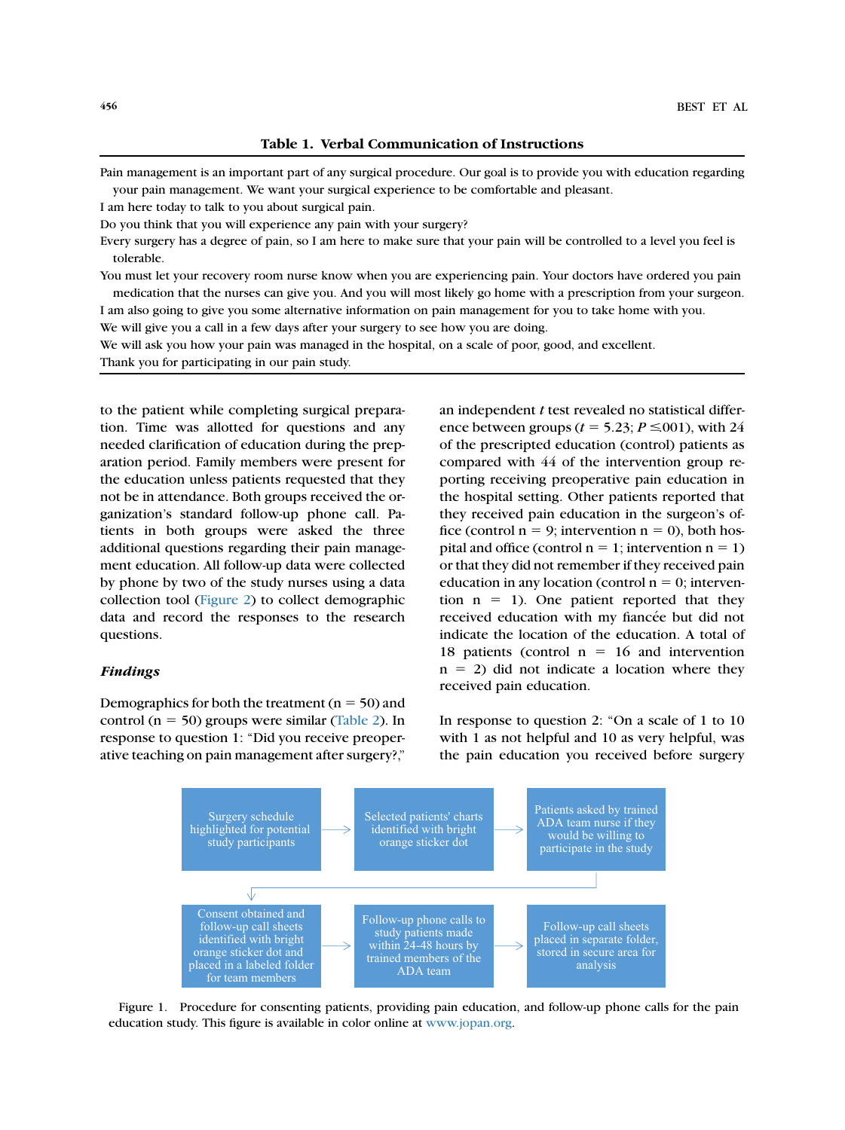Table 1. Verbal Communication of Instructions

<span id="page-3-0"></span>Pain management is an important part of any surgical procedure. Our goal is to provide you with education regarding your pain management. We want your surgical experience to be comfortable and pleasant.

I am here today to talk to you about surgical pain.

Do you think that you will experience any pain with your surgery?

Every surgery has a degree of pain, so I am here to make sure that your pain will be controlled to a level you feel is tolerable.

You must let your recovery room nurse know when you are experiencing pain. Your doctors have ordered you pain medication that the nurses can give you. And you will most likely go home with a prescription from your surgeon. I am also going to give you some alternative information on pain management for you to take home with you.

We will give you a call in a few days after your surgery to see how you are doing.

We will ask you how your pain was managed in the hospital, on a scale of poor, good, and excellent.

Thank you for participating in our pain study.

to the patient while completing surgical preparation. Time was allotted for questions and any needed clarification of education during the preparation period. Family members were present for the education unless patients requested that they not be in attendance. Both groups received the organization's standard follow-up phone call. Patients in both groups were asked the three additional questions regarding their pain management education. All follow-up data were collected by phone by two of the study nurses using a data collection tool ([Figure 2\)](#page-4-0) to collect demographic data and record the responses to the research questions.

# Findings

Demographics for both the treatment ( $n = 50$ ) and control ( $n = 50$ ) groups were similar [\(Table 2\)](#page-5-0). In response to question 1: ''Did you receive preoperative teaching on pain management after surgery?,''

an independent t test revealed no statistical difference between groups ( $t = 5.23$ ;  $P \le 001$ ), with 24 of the prescripted education (control) patients as compared with 44 of the intervention group reporting receiving preoperative pain education in the hospital setting. Other patients reported that they received pain education in the surgeon's office (control  $n = 9$ ; intervention  $n = 0$ ), both hospital and office (control  $n = 1$ ; intervention  $n = 1$ ) or that they did not remember if they received pain education in any location (control  $n = 0$ ; intervention  $n = 1$ ). One patient reported that they received education with my fiancée but did not indicate the location of the education. A total of 18 patients (control  $n = 16$  and intervention  $n = 2$ ) did not indicate a location where they received pain education.

In response to question 2: "On a scale of 1 to 10 with 1 as not helpful and 10 as very helpful, was the pain education you received before surgery



Figure 1. Procedure for consenting patients, providing pain education, and follow-up phone calls for the pain education study. This figure is available in color online at [www.jopan.org](http://www.jopan.org).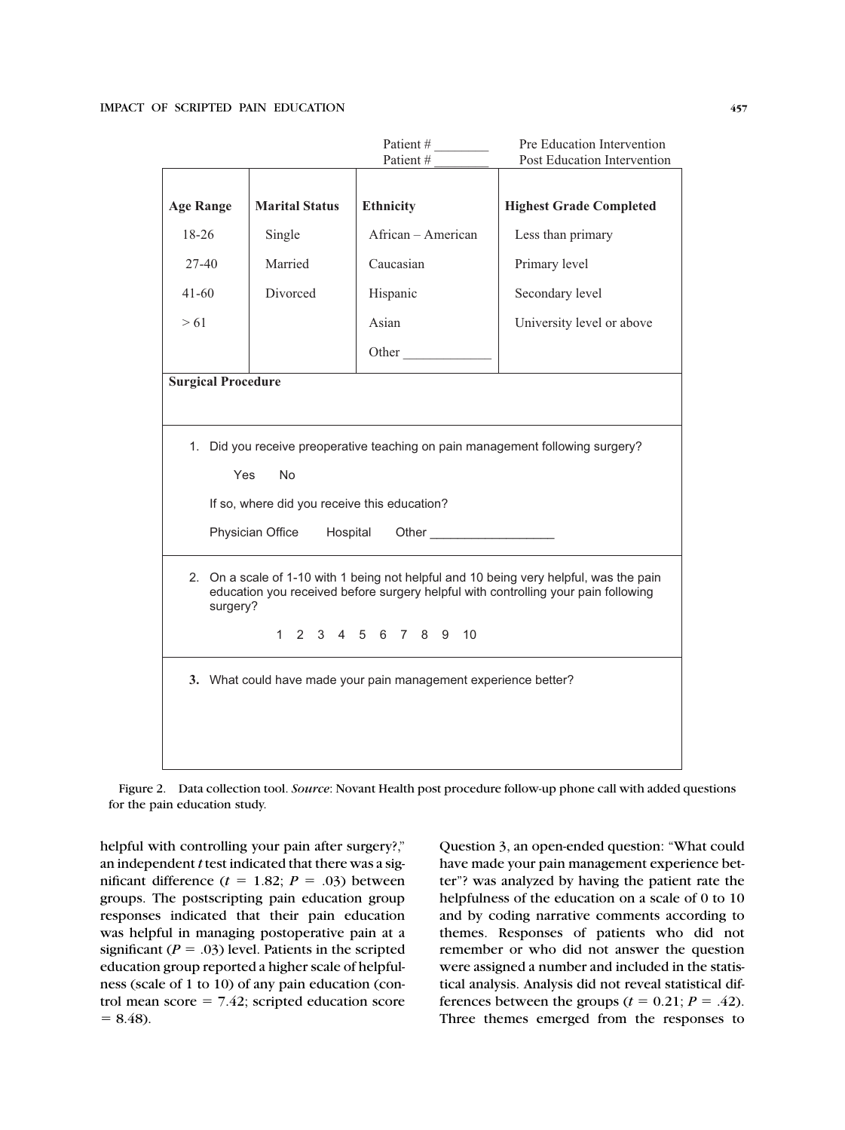<span id="page-4-0"></span>

|                                                                                                                                                                                          |                       | Patient #            | Pre Education Intervention     |  |  |
|------------------------------------------------------------------------------------------------------------------------------------------------------------------------------------------|-----------------------|----------------------|--------------------------------|--|--|
|                                                                                                                                                                                          |                       | Patient#             | Post Education Intervention    |  |  |
| <b>Age Range</b>                                                                                                                                                                         | <b>Marital Status</b> | <b>Ethnicity</b>     | <b>Highest Grade Completed</b> |  |  |
| 18-26                                                                                                                                                                                    | Single                | African - American   | Less than primary              |  |  |
| 27-40                                                                                                                                                                                    | Married               | Caucasian            | Primary level                  |  |  |
| $41 - 60$                                                                                                                                                                                | Divorced              | Hispanic             | Secondary level                |  |  |
| > 61                                                                                                                                                                                     |                       | Asian                | University level or above      |  |  |
|                                                                                                                                                                                          |                       | Other                |                                |  |  |
| <b>Surgical Procedure</b>                                                                                                                                                                |                       |                      |                                |  |  |
|                                                                                                                                                                                          |                       |                      |                                |  |  |
| 1. Did you receive preoperative teaching on pain management following surgery?                                                                                                           |                       |                      |                                |  |  |
| Yes<br><b>No</b>                                                                                                                                                                         |                       |                      |                                |  |  |
| If so, where did you receive this education?                                                                                                                                             |                       |                      |                                |  |  |
| Physician Office<br>Hospital                                                                                                                                                             |                       |                      |                                |  |  |
| 2. On a scale of 1-10 with 1 being not helpful and 10 being very helpful, was the pain<br>education you received before surgery helpful with controlling your pain following<br>surgery? |                       |                      |                                |  |  |
|                                                                                                                                                                                          |                       | 1 2 3 4 5 6 7 8 9 10 |                                |  |  |
| 3. What could have made your pain management experience better?                                                                                                                          |                       |                      |                                |  |  |
|                                                                                                                                                                                          |                       |                      |                                |  |  |
|                                                                                                                                                                                          |                       |                      |                                |  |  |

Figure 2. Data collection tool. Source: Novant Health post procedure follow-up phone call with added questions for the pain education study.

helpful with controlling your pain after surgery?," an independent t test indicated that there was a significant difference  $(t = 1.82; P = .03)$  between groups. The postscripting pain education group responses indicated that their pain education was helpful in managing postoperative pain at a significant ( $P = .03$ ) level. Patients in the scripted education group reported a higher scale of helpfulness (scale of 1 to 10) of any pain education (control mean score  $= 7.42$ ; scripted education score  $= 8.48$ ).

Question 3, an open-ended question: ''What could have made your pain management experience better''? was analyzed by having the patient rate the helpfulness of the education on a scale of 0 to 10 and by coding narrative comments according to themes. Responses of patients who did not remember or who did not answer the question were assigned a number and included in the statistical analysis. Analysis did not reveal statistical differences between the groups ( $t = 0.21$ ;  $P = .42$ ). Three themes emerged from the responses to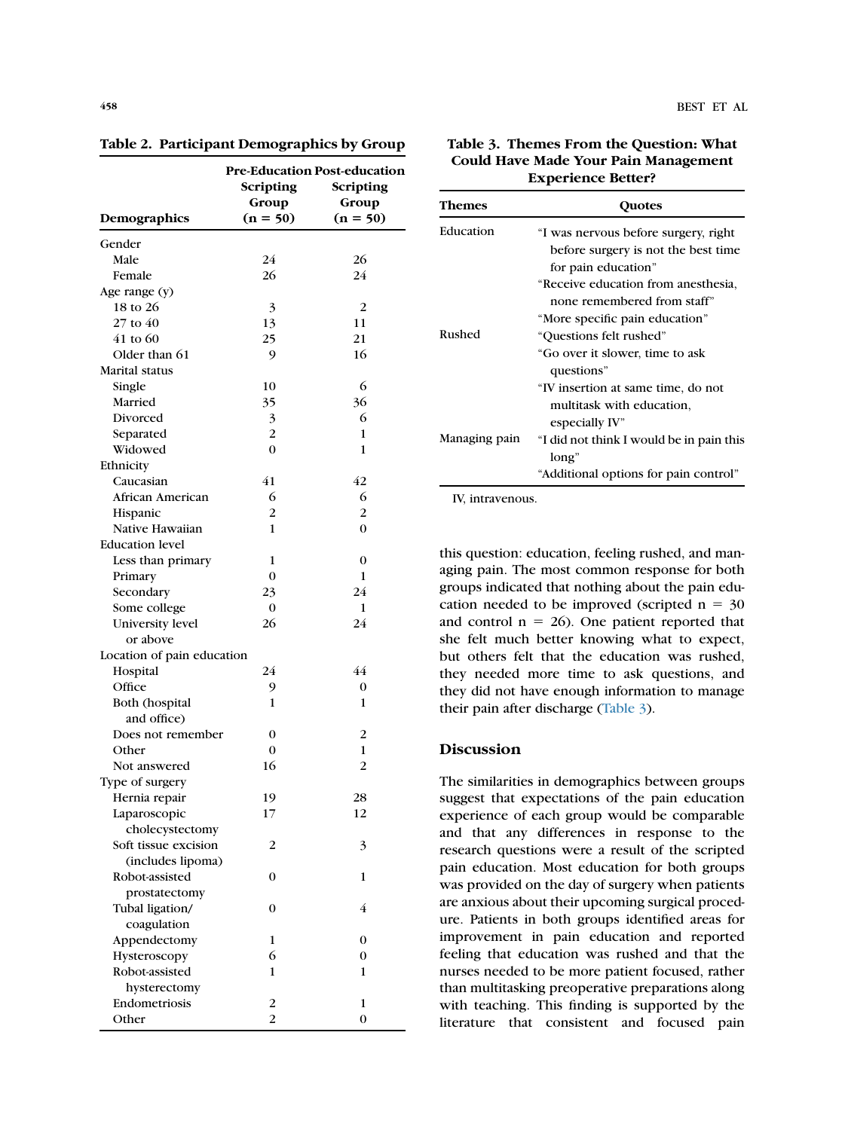|                            | Pre-Education Post-education |                |  |
|----------------------------|------------------------------|----------------|--|
|                            | Scripting                    | Scripting      |  |
|                            | Group                        | Group          |  |
| Demographics               | $(n = 50)$                   | $(n = 50)$     |  |
| Gender                     |                              |                |  |
| Male                       | 24                           | 26             |  |
| Female                     | 26                           | 24             |  |
| Age range (y)              |                              |                |  |
| 18 to 26                   | 3                            | 2              |  |
| 27 to 40                   | 13                           | 11             |  |
| 41 to 60                   | 25                           | 21             |  |
| Older than 61              | 9                            | 16             |  |
| Marital status             |                              |                |  |
| Single                     | 10                           | 6              |  |
| Married                    | 35                           | 36             |  |
| Divorced                   | 3                            | 6              |  |
| Separated                  | $\overline{2}$               | 1              |  |
| Widowed                    | $\Omega$                     | 1              |  |
| Ethnicity                  |                              |                |  |
| Caucasian                  | 41                           | 42             |  |
| African American           | 6                            | 6              |  |
| Hispanic                   | 2                            | $\overline{c}$ |  |
| Native Hawaiian            | 1                            | $\theta$       |  |
| <b>Education level</b>     |                              |                |  |
| Less than primary          | 1                            | $\overline{0}$ |  |
| Primary                    | $\Omega$                     | 1              |  |
| Secondary                  | 23                           | 24             |  |
| Some college               | $\Omega$                     | 1              |  |
| University level           | 26                           | 24             |  |
| or above                   |                              |                |  |
| Location of pain education |                              |                |  |
| Hospital                   | 24                           | 44             |  |
| Office                     | 9                            | 0              |  |
| Both (hospital             | 1                            | 1              |  |
| and office)                |                              |                |  |
| Does not remember          | $\mathbf{0}$                 | 2              |  |
| Other                      | $\mathbf{0}$                 | 1              |  |
| Not answered               | 16                           | $\overline{2}$ |  |
| Type of surgery            |                              |                |  |
| Hernia repair              | 19                           | 28             |  |
| Laparoscopic               | 17                           | 12             |  |
| cholecystectomy            |                              |                |  |
| Soft tissue excision       | 2                            | 3              |  |
| (includes lipoma)          |                              |                |  |
| Robot-assisted             | 0                            | 1              |  |
| prostatectomy              |                              |                |  |
| Tubal ligation/            | 0                            | 4              |  |
| coagulation                |                              |                |  |
| Appendectomy               | 1                            | 0              |  |
| Hysteroscopy               | 6                            | 0              |  |
| Robot-assisted             | 1                            | 1              |  |
| hysterectomy               |                              |                |  |
| Endometriosis              | 2                            | 1              |  |
| Other                      | $\overline{2}$               | 0              |  |
|                            |                              |                |  |

<span id="page-5-0"></span>Table 2. Participant Demographics by Group

Table 3. Themes From the Question: What Could Have Made Your Pain Management Experience Better?

| Themes        | <b>Ouotes</b>                                                                                        |
|---------------|------------------------------------------------------------------------------------------------------|
| Education     | "I was nervous before surgery, right<br>before surgery is not the best time<br>for pain education"   |
|               | "Receive education from anesthesia,<br>none remembered from staff"<br>"More specific pain education" |
| Rushed        | "Ouestions felt rushed"<br>"Go over it slower, time to ask<br>questions"                             |
|               | "IV insertion at same time, do not<br>multitask with education,<br>especially IV"                    |
| Managing pain | "I did not think I would be in pain this<br>long"<br>"Additional options for pain control"           |

IV, intravenous.

this question: education, feeling rushed, and managing pain. The most common response for both groups indicated that nothing about the pain education needed to be improved (scripted  $n = 30$ and control  $n = 26$ ). One patient reported that she felt much better knowing what to expect, but others felt that the education was rushed, they needed more time to ask questions, and they did not have enough information to manage their pain after discharge (Table 3).

# **Discussion**

The similarities in demographics between groups suggest that expectations of the pain education experience of each group would be comparable and that any differences in response to the research questions were a result of the scripted pain education. Most education for both groups was provided on the day of surgery when patients are anxious about their upcoming surgical procedure. Patients in both groups identified areas for improvement in pain education and reported feeling that education was rushed and that the nurses needed to be more patient focused, rather than multitasking preoperative preparations along with teaching. This finding is supported by the literature that consistent and focused pain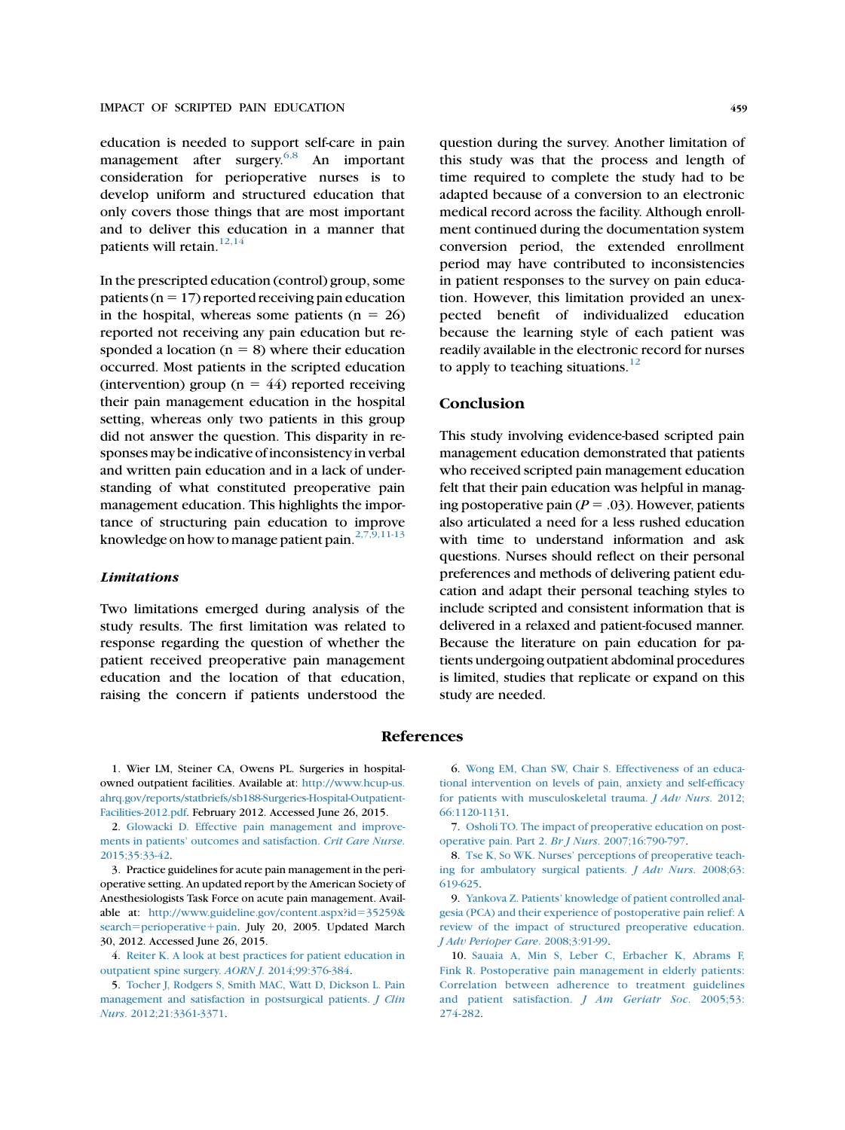<span id="page-6-0"></span>education is needed to support self-care in pain management after surgery. $6,8$  An important consideration for perioperative nurses is to develop uniform and structured education that only covers those things that are most important and to deliver this education in a manner that patients will retain. $12,14$ 

In the prescripted education (control) group, some patients ( $n = 17$ ) reported receiving pain education in the hospital, whereas some patients  $(n = 26)$ reported not receiving any pain education but responded a location ( $n = 8$ ) where their education occurred. Most patients in the scripted education (intervention) group ( $n = 44$ ) reported receiving their pain management education in the hospital setting, whereas only two patients in this group did not answer the question. This disparity in responses may be indicative of inconsistency in verbal and written pain education and in a lack of understanding of what constituted preoperative pain management education. This highlights the importance of structuring pain education to improve knowledge on how to manage patient pain. $2,7,9,11-13$ 

#### **Limitations**

Two limitations emerged during analysis of the study results. The first limitation was related to response regarding the question of whether the patient received preoperative pain management education and the location of that education, raising the concern if patients understood the question during the survey. Another limitation of this study was that the process and length of time required to complete the study had to be adapted because of a conversion to an electronic medical record across the facility. Although enrollment continued during the documentation system conversion period, the extended enrollment period may have contributed to inconsistencies in patient responses to the survey on pain education. However, this limitation provided an unexpected benefit of individualized education

because the learning style of each patient was readily available in the electronic record for nurses

to apply to teaching situations. $12$ 

#### **Conclusion**

This study involving evidence-based scripted pain management education demonstrated that patients who received scripted pain management education felt that their pain education was helpful in managing postoperative pain ( $P = .03$ ). However, patients also articulated a need for a less rushed education with time to understand information and ask questions. Nurses should reflect on their personal preferences and methods of delivering patient education and adapt their personal teaching styles to include scripted and consistent information that is delivered in a relaxed and patient-focused manner. Because the literature on pain education for patients undergoing outpatient abdominal procedures is limited, studies that replicate or expand on this study are needed.

#### References

1. Wier LM, Steiner CA, Owens PL. Surgeries in hospitalowned outpatient facilities. Available at: [http://www.hcup-us.](http://www.hcup-us.ahrq.gov/reports/statbriefs/sb188-Surgeries-Hospital-Outpatient-Facilities-2012.pdf) [ahrq.gov/reports/statbriefs/sb188-Surgeries-Hospital-Outpatient-](http://www.hcup-us.ahrq.gov/reports/statbriefs/sb188-Surgeries-Hospital-Outpatient-Facilities-2012.pdf)[Facilities-2012.pdf.](http://www.hcup-us.ahrq.gov/reports/statbriefs/sb188-Surgeries-Hospital-Outpatient-Facilities-2012.pdf) February 2012. Accessed June 26, 2015.

2. [Glowacki D. Effective pain management and improve](http://refhub.elsevier.com/S1089-9472(16)30439-7/sref2)[ments in patients' outcomes and satisfaction.](http://refhub.elsevier.com/S1089-9472(16)30439-7/sref2) Crit Care Nurse. [2015;35:33-42](http://refhub.elsevier.com/S1089-9472(16)30439-7/sref2).

3. Practice guidelines for acute pain management in the perioperative setting. An updated report by the American Society of Anesthesiologists Task Force on acute pain management. Available at: [http://www.guideline.gov/content.aspx?id](http://www.guideline.gov/content.aspx?id=35259&search=perioperative+pain)=[35259&](http://www.guideline.gov/content.aspx?id=35259&search=perioperative+pain) [search](http://www.guideline.gov/content.aspx?id=35259&search=perioperative+pain)=[perioperative](http://www.guideline.gov/content.aspx?id=35259&search=perioperative+pain)+[pain](http://www.guideline.gov/content.aspx?id=35259&search=perioperative+pain). July 20, 2005. Updated March 30, 2012. Accessed June 26, 2015.

4. [Reiter K. A look at best practices for patient education in](http://refhub.elsevier.com/S1089-9472(16)30439-7/sref4) [outpatient spine surgery.](http://refhub.elsevier.com/S1089-9472(16)30439-7/sref4) AORN J. 2014;99:376-384.

5. [Tocher J, Rodgers S, Smith MAC, Watt D, Dickson L. Pain](http://refhub.elsevier.com/S1089-9472(16)30439-7/sref5) [management and satisfaction in postsurgical patients.](http://refhub.elsevier.com/S1089-9472(16)30439-7/sref5) J Clin Nurs[. 2012;21:3361-3371](http://refhub.elsevier.com/S1089-9472(16)30439-7/sref5).

6. [Wong EM, Chan SW, Chair S. Effectiveness of an educa](http://refhub.elsevier.com/S1089-9472(16)30439-7/sref6)[tional intervention on levels of pain, anxiety and self-efficacy](http://refhub.elsevier.com/S1089-9472(16)30439-7/sref6) [for patients with musculoskeletal trauma.](http://refhub.elsevier.com/S1089-9472(16)30439-7/sref6) J Adv Nurs. 2012; [66:1120-1131](http://refhub.elsevier.com/S1089-9472(16)30439-7/sref6).

7. [Osholi TO. The impact of preoperative education on post](http://refhub.elsevier.com/S1089-9472(16)30439-7/sref7)[operative pain. Part 2.](http://refhub.elsevier.com/S1089-9472(16)30439-7/sref7) Br J Nurs. 2007;16:790-797.

8. [Tse K, So WK. Nurses' perceptions of preoperative teach](http://refhub.elsevier.com/S1089-9472(16)30439-7/sref8)[ing for ambulatory surgical patients.](http://refhub.elsevier.com/S1089-9472(16)30439-7/sref8) J Adv Nurs. 2008;63: [619-625.](http://refhub.elsevier.com/S1089-9472(16)30439-7/sref8)

9. [Yankova Z. Patients' knowledge of patient controlled anal](http://refhub.elsevier.com/S1089-9472(16)30439-7/sref9)[gesia \(PCA\) and their experience of postoperative pain relief: A](http://refhub.elsevier.com/S1089-9472(16)30439-7/sref9) [review of the impact of structured preoperative education.](http://refhub.elsevier.com/S1089-9472(16)30439-7/sref9) [J Adv Perioper Care](http://refhub.elsevier.com/S1089-9472(16)30439-7/sref9). 2008;3:91-99.

10. [Sauaia A, Min S, Leber C, Erbacher K, Abrams F,](http://refhub.elsevier.com/S1089-9472(16)30439-7/sref10) [Fink R. Postoperative pain management in elderly patients:](http://refhub.elsevier.com/S1089-9472(16)30439-7/sref10) [Correlation between adherence to treatment guidelines](http://refhub.elsevier.com/S1089-9472(16)30439-7/sref10) [and patient satisfaction.](http://refhub.elsevier.com/S1089-9472(16)30439-7/sref10) *J Am Geriatr Soc.* 2005;53: [274-282.](http://refhub.elsevier.com/S1089-9472(16)30439-7/sref10)